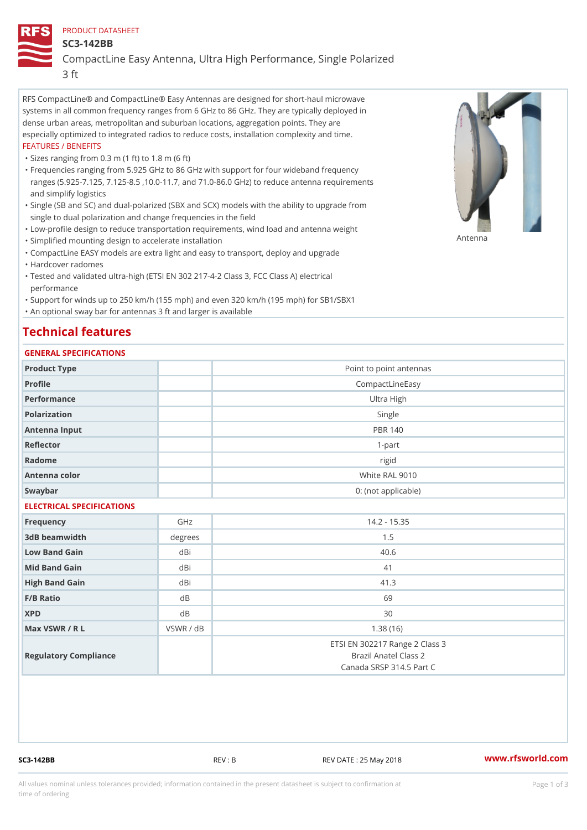## PRODUCT DATASHEET

SC3-142BB

CompactLine Easy Antenna, Ultra High Performance, Single Polarized 3 ft

RFS CompactLine® and CompactLine® Easy Antennas are designed for short-haul microwave systems in all common frequency ranges from 6 GHz to 86 GHz. They are typically deployed in dense urban areas, metropolitan and suburban locations, aggregation points. They are especially optimized to integrated radios to reduce costs, installation complexity and time. FEATURES / BENEFITS

"Sizes ranging from 0.3 m (1 ft) to 1.8 m (6 ft)

- Frequencies ranging from 5.925 GHz to 86 GHz with support for four wideband frequency " ranges (5.925-7.125, 7.125-8.5 ,10.0-11.7, and 71.0-86.0 GHz) to reduce antenna requirements and simplify logistics
- Single (SB and SC) and dual-polarized (SBX and SCX) models with the ability to upgrade from " single to dual polarization and change frequencies in the field
- "Low-profile design to reduce transportation requirements, wind load and antenna weight
- "Simplified mounting design to accelerate installation

 "CompactLine EASY models are extra light and easy to transport, deploy and upgrade "Hardcover radomes

Tested and validated ultra-high (ETSI EN 302 217-4-2 Class 3, FCC Class A) electrical " performance

 "Support for winds up to 250 km/h (155 mph) and even 320 km/h (195 mph) for SB1/SBX1 "An optional sway bar for antennas 3 ft and larger is available

## Technical features

## GENERAL SPECIFICATIONS

| GENERAL SELGIFICATIONS    |           |                                                                                     |  |  |
|---------------------------|-----------|-------------------------------------------------------------------------------------|--|--|
| Product Type              |           | Point to point antennas                                                             |  |  |
| Profile                   |           | CompactLineEasy                                                                     |  |  |
| Performance               |           | Ultra High                                                                          |  |  |
| Polarization              |           | Single                                                                              |  |  |
| Antenna Input             |           | PBR 140                                                                             |  |  |
| Reflector                 |           | $1 - p$ art                                                                         |  |  |
| Radome                    |           | rigid                                                                               |  |  |
| Antenna color             |           | White RAL 9010                                                                      |  |  |
| Swaybar                   |           | 0: (not applicable)                                                                 |  |  |
| ELECTRICAL SPECIFICATIONS |           |                                                                                     |  |  |
| Frequency                 | GHz       | $14.2 - 15.35$                                                                      |  |  |
| 3dB beamwidth             | degree    | 1.5                                                                                 |  |  |
| Low Band Gain             | dBi       | 40.6                                                                                |  |  |
| Mid Band Gain             | dBi       | 41                                                                                  |  |  |
| High Band Gain            | dBi       | 41.3                                                                                |  |  |
| $F/B$ Ratio               | d B       | 69                                                                                  |  |  |
| <b>XPD</b>                | d B       | 30                                                                                  |  |  |
| Max VSWR / R L            | VSWR / dB | 1.38(16)                                                                            |  |  |
| Regulatory Compliance     |           | ETSI EN 302217 Range 2 Class 3<br>Brazil Anatel Class 2<br>Canada SRSP 314.5 Part C |  |  |

SC3-142BB REV : B REV DATE : 25 May 2018 [www.](https://www.rfsworld.com)rfsworld.com

Antenna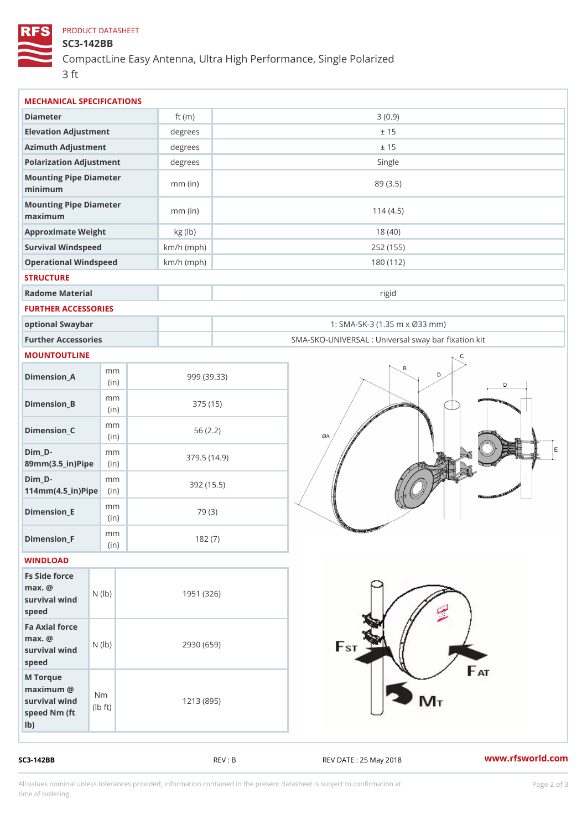## PRODUCT DATASHEET

SC3-142BB

CompactLine Easy Antenna, Ultra High Performance, Single Polarized 3 ft

| MECHANICAL SPECIFICATIONS                                                                        |              |                                                   |
|--------------------------------------------------------------------------------------------------|--------------|---------------------------------------------------|
| Diameter                                                                                         | ft $(m)$     | 3(0.9)                                            |
| Elevation Adjustment                                                                             | degrees      | ± 15                                              |
| Azimuth Adjustment                                                                               | degrees      | ± 15                                              |
| Polarization Adjustment                                                                          | degrees      | Single                                            |
| Mounting Pipe Diameter<br>minimum                                                                | $mm$ (in)    | 89 (3.5)                                          |
| Mounting Pipe Diameter<br>maximum                                                                | $mm$ (in)    | 114(4.5)                                          |
| Approximate Weight                                                                               | kg (lb)      | 18(40)                                            |
| Survival Windspeed                                                                               | $km/h$ (mph) | 252 (155)                                         |
| Operational Windspeed                                                                            | $km/h$ (mph) | 180 (112)                                         |
| <b>STRUCTURE</b>                                                                                 |              |                                                   |
| Radome Material                                                                                  |              | rigid                                             |
| FURTHER ACCESSORIES                                                                              |              |                                                   |
| optional Swaybar                                                                                 |              | 1: SMA-SK-3 (1.35 m x Ø33 mm)                     |
| Further Accessories                                                                              |              | SMA-SKO-UNIVERSAL : Universal sway bar fixation I |
| MOUNTOUTLINE                                                                                     |              |                                                   |
| m m<br>$Dimension_A$<br>(in)                                                                     |              | 999 (39.33)                                       |
| m m<br>$Dimension_B$<br>(in)                                                                     |              | 375 (15)                                          |
| m m<br>$Dimension_C$<br>(in)                                                                     |              | 56(2.2)                                           |
| $Dim_D - D -$<br>m m<br>89mm (3.5_in) Pi(pine)                                                   |              | 379.5(14.9)                                       |
| $Dim_D -$<br>m m<br>$114mm(4.5_{ir})$ $Ri$ p                                                     |              | 392 (15.5)                                        |
| m m<br>$Dimension$ _ $E$<br>(in)                                                                 |              | 79 (3)                                            |
| $\ensuremath{\mathsf{m}}\xspace\ensuremath{\mathsf{m}}\xspace$<br>$Dimen sion_F$<br>(in          |              | 182(7)                                            |
| WINDLOAD                                                                                         |              |                                                   |
| Fs Side force<br>$max.$ @<br>survival $w \nmid N$ ( $ b$ )<br>speed                              | 1951 (326)   |                                                   |
| Fa Axial force<br>$max.$ @<br>survival $w \nvert N$ ( $ b$ )<br>speed                            |              | 2930 (659)                                        |
| M Torque<br>$maximum$ @<br>N <sub>m</sub><br>survival wind<br>$1b + t$<br>speed Nm (ft<br>$1b$ ) |              | 1213 (895)                                        |

SC3-142BB REV : B REV : B REV DATE : 25 May 2018 WWW.rfsworld.com